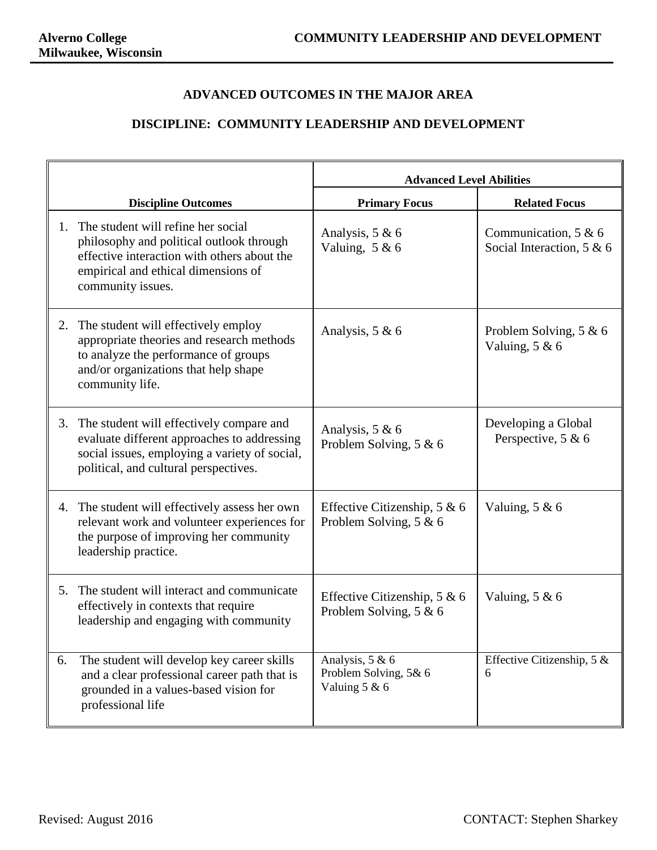## **ADVANCED OUTCOMES IN THE MAJOR AREA**

## **DISCIPLINE: COMMUNITY LEADERSHIP AND DEVELOPMENT**

|    |                                                                                                                                                                                           | <b>Advanced Level Abilities</b>                           |                                                     |  |
|----|-------------------------------------------------------------------------------------------------------------------------------------------------------------------------------------------|-----------------------------------------------------------|-----------------------------------------------------|--|
|    | <b>Discipline Outcomes</b>                                                                                                                                                                | <b>Primary Focus</b>                                      | <b>Related Focus</b>                                |  |
| 1. | The student will refine her social<br>philosophy and political outlook through<br>effective interaction with others about the<br>empirical and ethical dimensions of<br>community issues. | Analysis, 5 & 6<br>Valuing, $5 & 6$                       | Communication, $5 & 6$<br>Social Interaction, 5 & 6 |  |
| 2. | The student will effectively employ<br>appropriate theories and research methods<br>to analyze the performance of groups<br>and/or organizations that help shape<br>community life.       | Analysis, $5 & 6$                                         | Problem Solving, $5 & 6$<br>Valuing, $5 & 6$        |  |
| 3. | The student will effectively compare and<br>evaluate different approaches to addressing<br>social issues, employing a variety of social,<br>political, and cultural perspectives.         | Analysis, 5 & 6<br>Problem Solving, 5 & 6                 | Developing a Global<br>Perspective, 5 & 6           |  |
|    | 4. The student will effectively assess her own<br>relevant work and volunteer experiences for<br>the purpose of improving her community<br>leadership practice.                           | Effective Citizenship, $5 & 6$<br>Problem Solving, 5 & 6  | Valuing, $5 & 6$                                    |  |
| 5. | The student will interact and communicate<br>effectively in contexts that require<br>leadership and engaging with community                                                               | Effective Citizenship, $5 & 6$<br>Problem Solving, 5 & 6  | Valuing, $5 & 6$                                    |  |
| 6. | The student will develop key career skills<br>and a clear professional career path that is<br>grounded in a values-based vision for<br>professional life                                  | Analysis, 5 & 6<br>Problem Solving, 5& 6<br>Valuing 5 & 6 | Effective Citizenship, $5 &$<br>6                   |  |